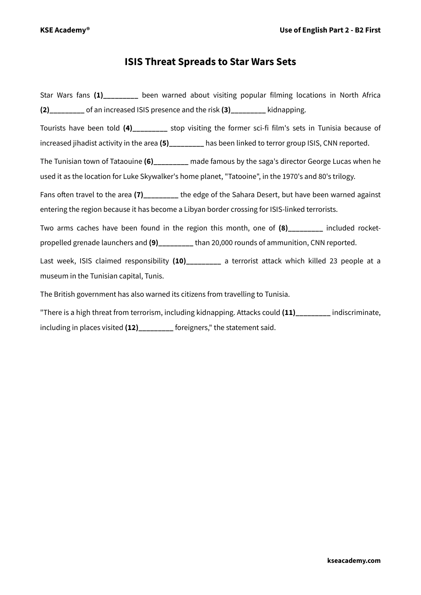## **ISIS Threat Spreads to Star Wars Sets**

Star Wars fans (1) been warned about visiting popular filming locations in North Africa **(2)\_\_\_\_\_\_\_\_\_** of an increased ISIS presence and the risk **(3)\_\_\_\_\_\_\_\_\_** kidnapping. Tourists have been told **(4)\_\_\_\_\_\_\_\_\_** stop visiting the former sci-fi film's sets in Tunisia because of increased jihadist activity in the area **(5)\_\_\_\_\_\_\_\_\_** has been linked to terror group ISIS, CNN reported. The Tunisian town of Tataouine **(6)\_\_\_\_\_\_\_\_\_** made famous by the saga's director George Lucas when he used it as the location for Luke Skywalker's home planet, "Tatooine", in the 1970's and 80's trilogy. Fans often travel to the area **(7)\_\_\_\_\_\_\_\_\_** the edge of the Sahara Desert, but have been warned against entering the region because it has become a Libyan border crossing for ISIS-linked terrorists. Two arms caches have been found in the region this month, one of **(8)\_\_\_\_\_\_\_\_\_** included rocketpropelled grenade launchers and **(9)\_\_\_\_\_\_\_\_\_** than 20,000 rounds of ammunition, CNN reported. Last week, ISIS claimed responsibility **(10)\_\_\_\_\_\_\_\_\_** a terrorist attack which killed 23 people at a museum in the Tunisian capital, Tunis. The British government has also warned its citizens from travelling to Tunisia. "There is a high threat from terrorism, including kidnapping. Attacks could **(11)\_\_\_\_\_\_\_\_\_** indiscriminate, including in places visited **(12)\_\_\_\_\_\_\_\_\_** foreigners," the statement said.